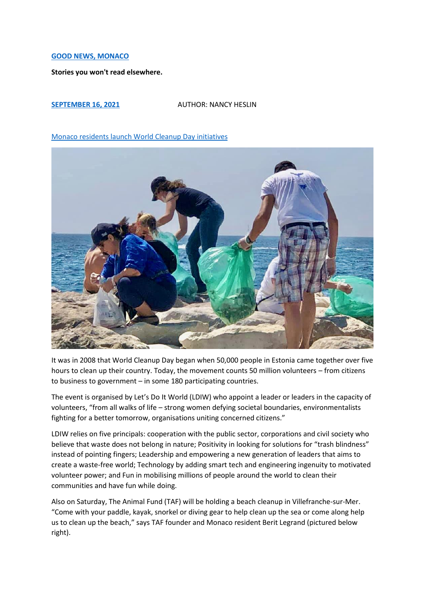## **[GOOD NEWS, MONACO](https://goodnewsmonaco.com/)**

**Stories you won't read elsewhere.**

## **[SEPTEMBER 16, 2021](https://goodnewsmonaco.com/2021/09/16/monaco-residents-launch-world-cleanup-day-initiatives/)** AUTHOR: NANCY HESLIN

## [Monaco residents launch World Cleanup Day](https://goodnewsmonaco.com/2021/09/16/monaco-residents-launch-world-cleanup-day-initiatives/) initiatives



It was in 2008 that World Cleanup Day began when 50,000 people in Estonia came together over five hours to clean up their country. Today, the movement counts 50 million volunteers – from citizens to business to government – in some 180 participating countries.

The event is organised by Let's Do It World (LDIW) who appoint a leader or leaders in the capacity of volunteers, "from all walks of life – strong women defying societal boundaries, environmentalists fighting for a better tomorrow, organisations uniting concerned citizens."

LDIW relies on five principals: cooperation with the public sector, corporations and civil society who believe that waste does not belong in nature; Positivity in looking for solutions for "trash blindness" instead of pointing fingers; Leadership and empowering a new generation of leaders that aims to create a waste-free world; Technology by adding smart tech and engineering ingenuity to motivated volunteer power; and Fun in mobilising millions of people around the world to clean their communities and have fun while doing.

Also on Saturday, The Animal Fund (TAF) will be holding a beach cleanup in Villefranche-sur-Mer. "Come with your paddle, kayak, snorkel or diving gear to help clean up the sea or come along help us to clean up the beach," says TAF founder and Monaco resident Berit Legrand (pictured below right).